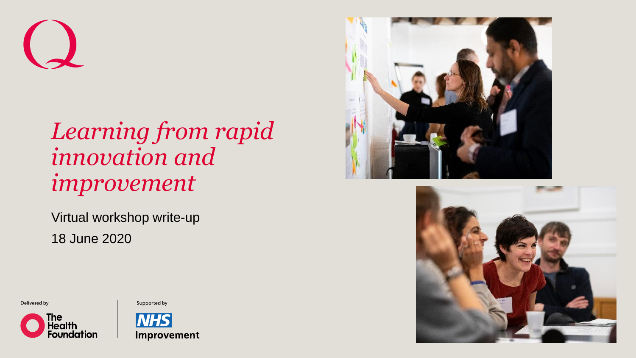

*Learning from rapid innovation and improvement*

Virtual workshop write-up 18 June 2020

Delivered by









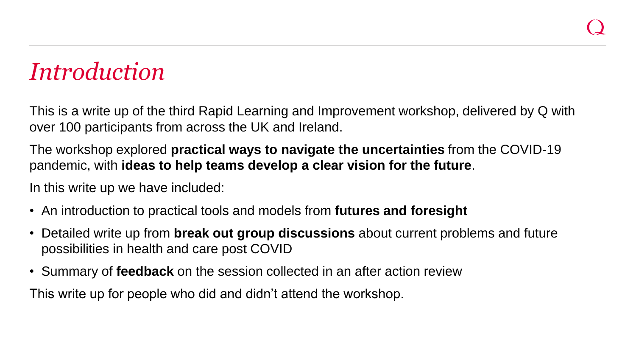### *Introduction*

This is a write up of the third Rapid Learning and Improvement workshop, delivered by Q with over 100 participants from across the UK and Ireland.

The workshop explored **practical ways to navigate the uncertainties** from the COVID-19 pandemic, with **ideas to help teams develop a clear vision for the future**.

In this write up we have included:

- An introduction to practical tools and models from **futures and foresight**
- Detailed write up from **break out group discussions** about current problems and future possibilities in health and care post COVID
- Summary of **feedback** on the session collected in an after action review

This write up for people who did and didn't attend the workshop.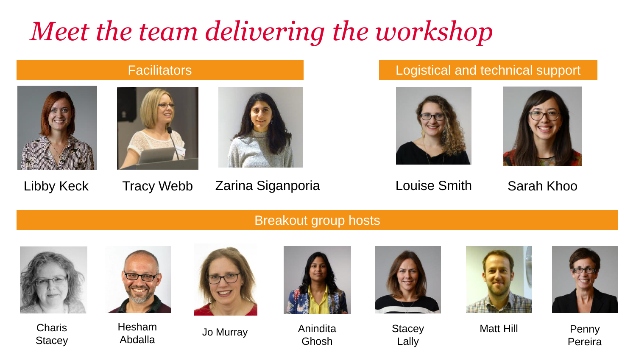# *Meet the team delivering the workshop*







Libby Keck Tracy Webb Zarina Siganporia Louise Smith Sarah Khoo

#### Facilitators **Logistical and technical support**





#### Breakout group hosts



**Charis Stacey** 



Hesham Abdalla



Jo Murray



Anindita Ghosh



**Stacey** Lally





Matt Hill Penny

Pereira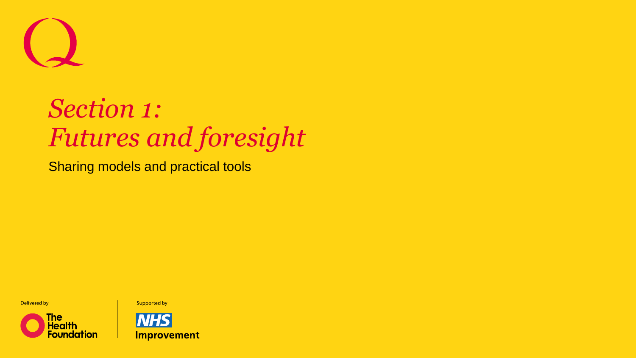

# *Section 1: Futures and foresight*

Sharing models and practical tools

Delivered by





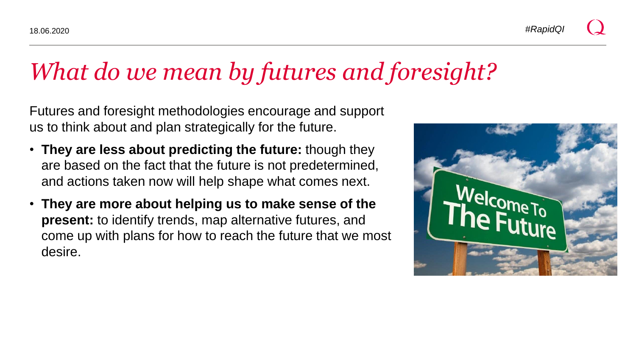### *What do we mean by futures and foresight?*

Futures and foresight methodologies encourage and support us to think about and plan strategically for the future.

- **They are less about predicting the future:** though they are based on the fact that the future is not predetermined, and actions taken now will help shape what comes next.
- **They are more about helping us to make sense of the present:** to identify trends, map alternative futures, and come up with plans for how to reach the future that we most desire.

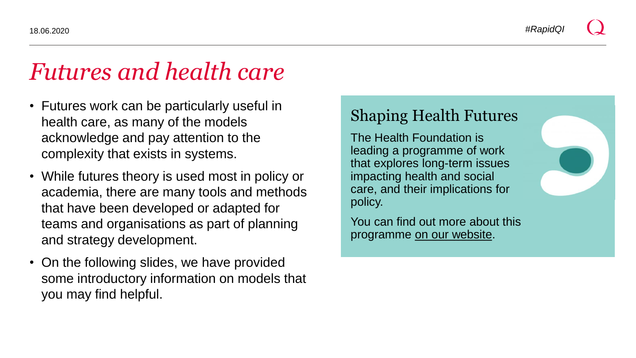### *Futures and health care*

- Futures work can be particularly useful in health care, as many of the models acknowledge and pay attention to the complexity that exists in systems.
- While futures theory is used most in policy or academia, there are many tools and methods that have been developed or adapted for teams and organisations as part of planning and strategy development.
- On the following slides, we have provided some introductory information on models that you may find helpful.

#### Shaping Health Futures

The Health Foundation is leading a programme of work that explores long-term issues impacting health and social care, and their implications for policy.

You can find out more about this programme [on our website.](https://www.health.org.uk/shaping-health-futures)

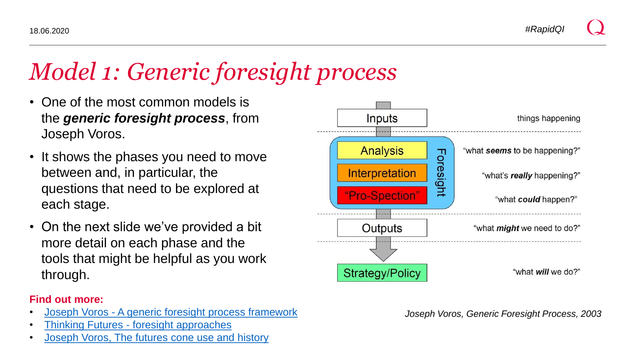# *Model 1: Generic foresight process*

- One of the most common models is the *generic foresight process*, from Joseph Voros.
- It shows the phases you need to move between and, in particular, the questions that need to be explored at each stage.
- On the next slide we've provided a bit more detail on each phase and the tools that might be helpful as you work through.

#### **Find out more:**

- Joseph Voros [A generic foresight process framework](https://www.emerald.com/insight/content/doi/10.1108/14636680310698379/full/html)
- Thinking Futures [foresight approaches](https://thinkingfutures.net/foresight-approaches)
- [Joseph Voros, The futures cone use and history](https://thevoroscope.com/2017/02/24/the-futures-cone-use-and-history/)



*Joseph Voros, Generic Foresight Process, 2003*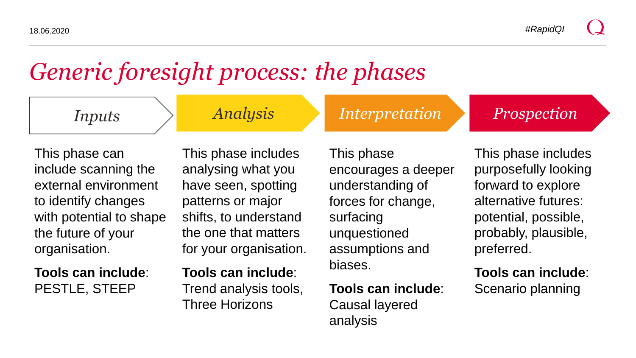### *Generic foresight process: the phases*

*Inputs Analysis*

This phase can include scanning the external environment to identify changes with potential to shape the future of your organisation.

**Tools can include**: PESTLE, STEEP

This phase includes analysing what you have seen, spotting patterns or major shifts, to understand the one that matters for your organisation.

**Tools can include**: Trend analysis tools, Three Horizons

#### This phase encourages a deeper understanding of forces for change, surfacing unquestioned assumptions and biases.

*Interpretation Prospection* 

#### **Tools can include**:

Causal layered analysis

This phase includes purposefully looking forward to explore alternative futures: potential, possible, probably, plausible, preferred.

**Tools can include**: Scenario planning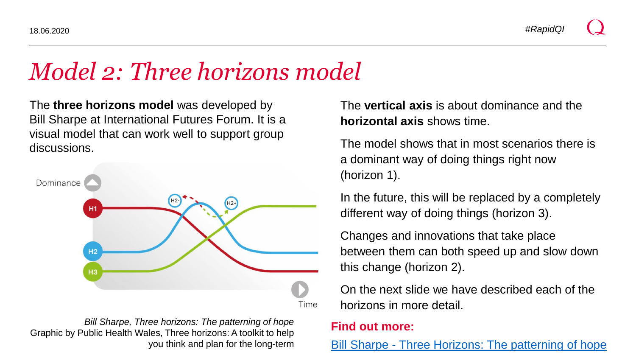### *Model 2: Three horizons model*

The **three horizons model** was developed by Bill Sharpe at International Futures Forum. It is a visual model that can work well to support group discussions.



*Bill Sharpe, Three horizons: The patterning of hope* Graphic by Public Health Wales, Three horizons: A toolkit to help you think and plan for the long-term

The **vertical axis** is about dominance and the **horizontal axis** shows time.

The model shows that in most scenarios there is a dominant way of doing things right now (horizon 1).

In the future, this will be replaced by a completely different way of doing things (horizon 3).

Changes and innovations that take place between them can both speed up and slow down this change (horizon 2).

On the next slide we have described each of the horizons in more detail.

#### **Find out more:**

Bill Sharpe - [Three Horizons: The patterning of hope](http://www.billsharpe.eu/publications.html)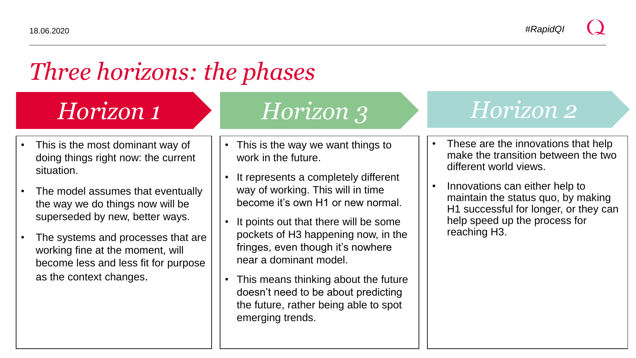# *Three horizons: the phases*

- This is the most dominant way of doing things right now: the current situation.
- The model assumes that eventually the way we do things now will be superseded by new, better ways.
- The systems and processes that are working fine at the moment, will become less and less fit for purpose as the context changes.

### *Horizon 1 Horizon 3*

- This is the way we want things to work in the future.
- It represents a completely different way of working. This will in time become it's own H1 or new normal.
- It points out that there will be some pockets of H3 happening now, in the fringes, even though it's nowhere near a dominant model.
- This means thinking about the future doesn't need to be about predicting the future, rather being able to spot emerging trends.

### *Horizon 2*

- These are the innovations that help make the transition between the two different world views.
- Innovations can either help to maintain the status quo, by making H1 successful for longer, or they can help speed up the process for reaching H3.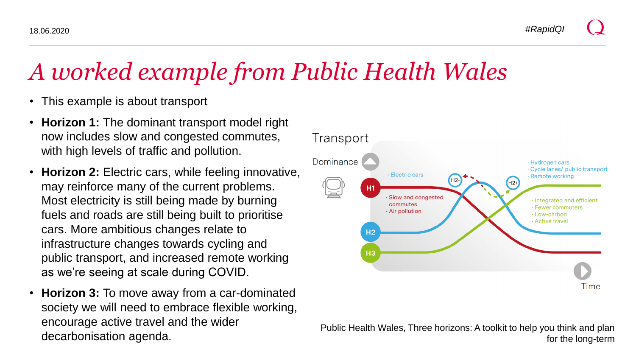*A worked example from Public Health Wales*

- This example is about transport
- **Horizon 1:** The dominant transport model right now includes slow and congested commutes, with high levels of traffic and pollution.
- **Horizon 2:** Electric cars, while feeling innovative, may reinforce many of the current problems. Most electricity is still being made by burning fuels and roads are still being built to prioritise cars. More ambitious changes relate to infrastructure changes towards cycling and public transport, and increased remote working as we're seeing at scale during COVID.
- **Horizon 3:** To move away from a car-dominated society we will need to embrace flexible working, encourage active travel and the wider decarbonisation agenda.



Public Health Wales, Three horizons: A toolkit to help you think and plan for the long-term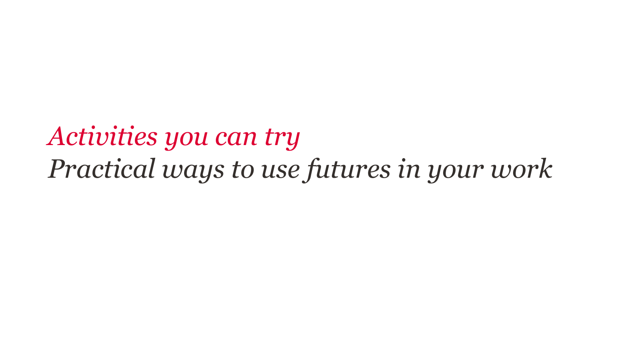*Activities you can try Practical ways to use futures in your work*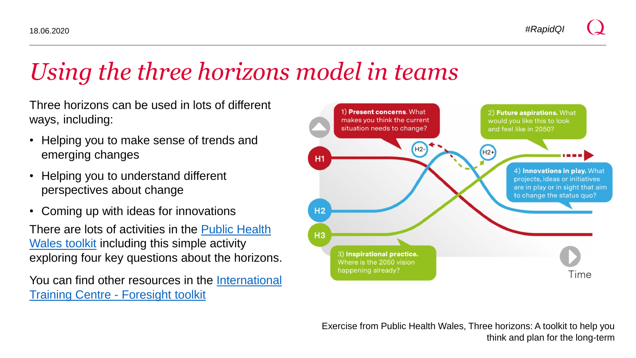18.06.2020 *#RapidQI*

# *Using the three horizons model in teams*

Three horizons can be used in lots of different ways, including:

- Helping you to make sense of trends and emerging changes
- Helping you to understand different perspectives about change
- Coming up with ideas for innovations

[There are lots of activities in the Public Health](https://phw.nhs.wales/news/future-proof-your-planning-with-easy-to-use-tool/three-horizons-toolkit/three-horizons-toolkit/) Wales toolkit including this simple activity exploring four key questions about the horizons.

[You can find other resources in the International](http://training.itcilo.org/delta/Foresight/3-Horizons.pdf)  **Training Centre - Foresight toolkit** 



Exercise from Public Health Wales, Three horizons: A toolkit to help you think and plan for the long-term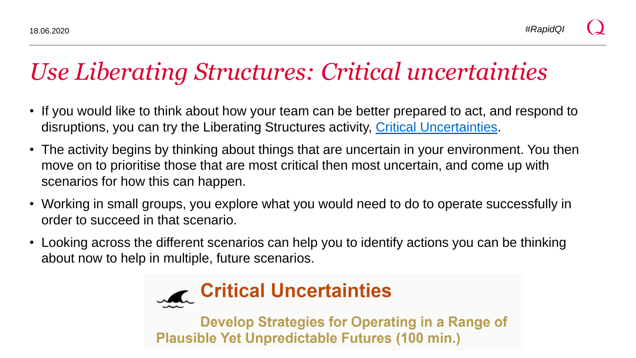18.06.2020 *#RapidQI*

### *Use Liberating Structures: Critical uncertainties*

- If you would like to think about how your team can be better prepared to act, and respond to disruptions, you can try the Liberating Structures activity, [Critical Uncertainties](http://www.liberatingstructures.com/30-critical-uncertainties/).
- The activity begins by thinking about things that are uncertain in your environment. You then move on to prioritise those that are most critical then most uncertain, and come up with scenarios for how this can happen.
- Working in small groups, you explore what you would need to do to operate successfully in order to succeed in that scenario.
- Looking across the different scenarios can help you to identify actions you can be thinking about now to help in multiple, future scenarios.



**Develop Strategies for Operating in a Range of Plausible Yet Unpredictable Futures (100 min.)**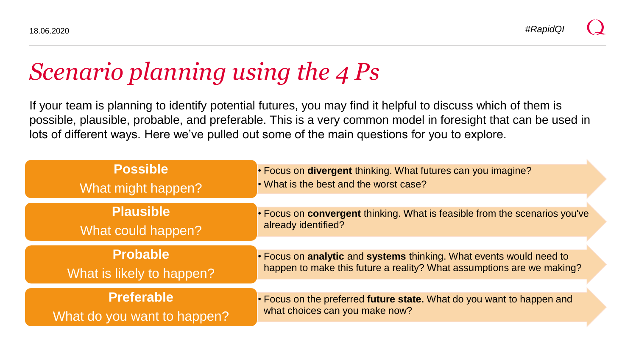### *Scenario planning using the 4 Ps*

If your team is planning to identify potential futures, you may find it helpful to discuss which of them is possible, plausible, probable, and preferable. This is a very common model in foresight that can be used in lots of different ways. Here we've pulled out some of the main questions for you to explore.

| <b>Possible</b>             | • Focus on divergent thinking. What futures can you imagine?                      |
|-----------------------------|-----------------------------------------------------------------------------------|
| What might happen?          | . What is the best and the worst case?                                            |
| Plausible                   | • Focus on <b>convergent</b> thinking. What is feasible from the scenarios you've |
| What could happen?          | already identified?                                                               |
| <b>Probable</b>             | . Focus on analytic and systems thinking. What events would need to               |
| What is likely to happen?   | happen to make this future a reality? What assumptions are we making?             |
| <b>Preferable</b>           | • Focus on the preferred future state. What do you want to happen and             |
| What do you want to happen? | what choices can you make now?                                                    |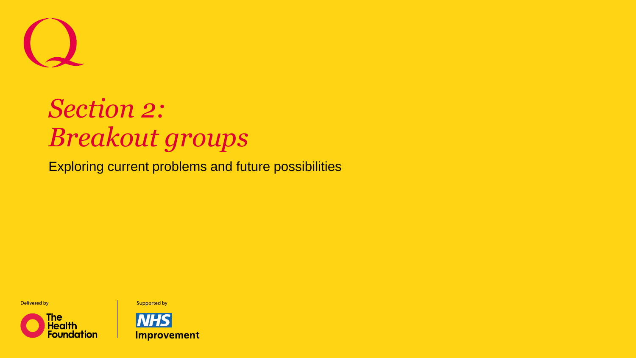

# *Section 2: Breakout groups*

Exploring current problems and future possibilities

Delivered by





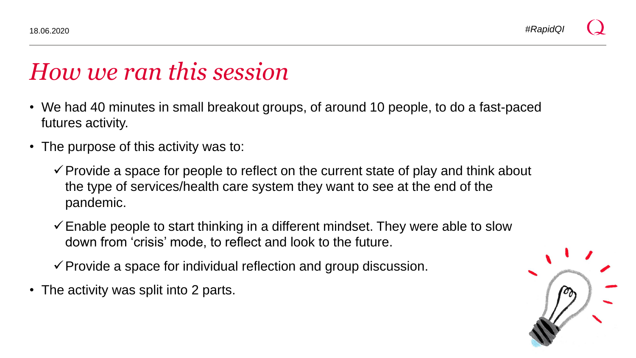### *How we ran this session*

- We had 40 minutes in small breakout groups, of around 10 people, to do a fast-paced futures activity.
- The purpose of this activity was to:
	- $\checkmark$  Provide a space for people to reflect on the current state of play and think about the type of services/health care system they want to see at the end of the pandemic.
	- $\checkmark$  Enable people to start thinking in a different mindset. They were able to slow down from 'crisis' mode, to reflect and look to the future.

 $\checkmark$  Provide a space for individual reflection and group discussion.

• The activity was split into 2 parts.

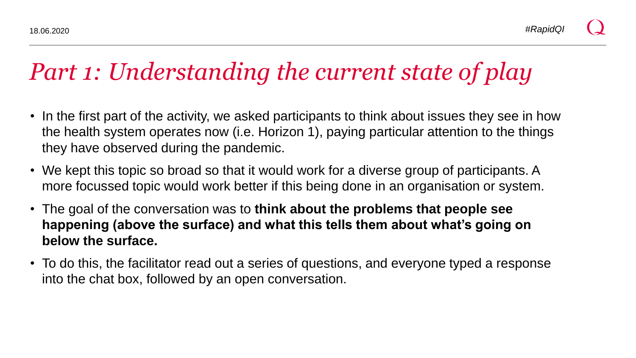## *Part 1: Understanding the current state of play*

- In the first part of the activity, we asked participants to think about issues they see in how the health system operates now (i.e. Horizon 1), paying particular attention to the things they have observed during the pandemic.
- We kept this topic so broad so that it would work for a diverse group of participants. A more focussed topic would work better if this being done in an organisation or system.
- The goal of the conversation was to **think about the problems that people see happening (above the surface) and what this tells them about what's going on below the surface.**
- To do this, the facilitator read out a series of questions, and everyone typed a response into the chat box, followed by an open conversation.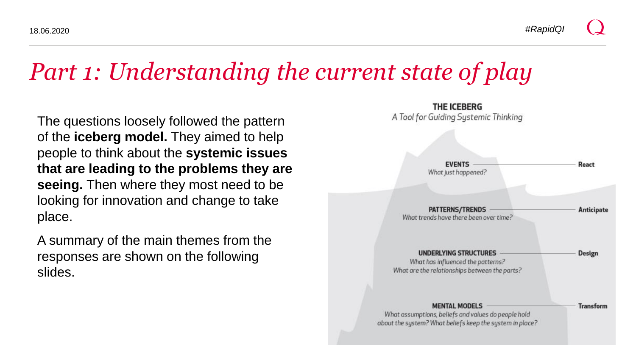### *Part 1: Understanding the current state of play*

The questions loosely followed the pattern of the **iceberg model.** They aimed to help people to think about the **systemic issues that are leading to the problems they are seeing.** Then where they most need to be looking for innovation and change to take place.

A summary of the main themes from the responses are shown on the following slides.

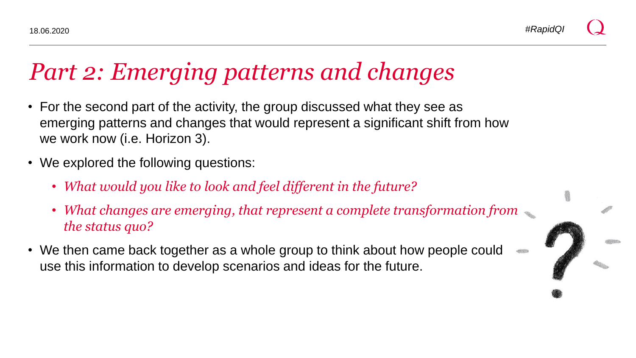18.06.2020 *#RapidQI*

### *Part 2: Emerging patterns and changes*

- For the second part of the activity, the group discussed what they see as emerging patterns and changes that would represent a significant shift from how we work now (i.e. Horizon 3).
- We explored the following questions:
	- *What would you like to look and feel different in the future?*
	- *What changes are emerging, that represent a complete transformation from the status quo?*
- We then came back together as a whole group to think about how people could use this information to develop scenarios and ideas for the future.

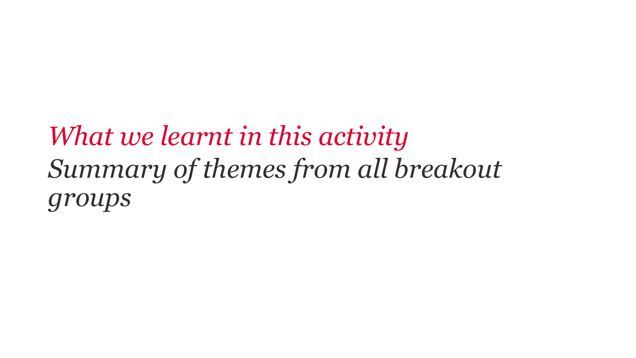*What we learnt in this activity Summary of themes from all breakout groups*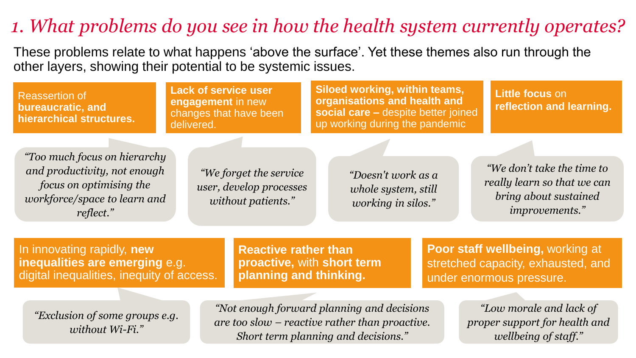#### *1. What problems do you see in how the health system currently operates?*

These problems relate to what happens 'above the surface'. Yet these themes also run through the other layers, showing their potential to be systemic issues.

Reassertion of **bureaucratic, and hierarchical structures.**  **Lack of service user engagement** in new changes that have been delivered.

**Siloed working, within teams, organisations and health and social care –** despite better joined up working during the pandemic

**Little focus** on **reflection and learning.**

*"Too much focus on hierarchy and productivity, not enough focus on optimising the workforce/space to learn and reflect."*

*"We forget the service user, develop processes without patients."*

*"Doesn't work as a whole system, still working in silos."*

*"We don't take the time to really learn so that we can bring about sustained improvements."*

In innovating rapidly, **new inequalities are emerging** e.g. digital inequalities, inequity of access. **Reactive rather than proactive,** with **short term planning and thinking.**

**Poor staff wellbeing,** working at stretched capacity, exhausted, and under enormous pressure.

*"Exclusion of some groups e.g. without Wi-Fi."*

*"Not enough forward planning and decisions are too slow – reactive rather than proactive. Short term planning and decisions."*

*"Low morale and lack of proper support for health and wellbeing of staff."*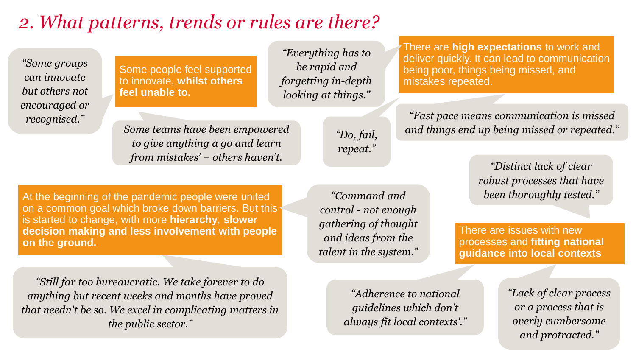#### *2. What patterns, trends or rules are there?*

*"Some groups can innovate but others not encouraged or recognised."*

Some people feel supported to innovate, **whilst others feel unable to.**

*"Everything has to be rapid and forgetting in-depth looking at things."*

There are **high expectations** to work and deliver quickly. It can lead to communication being poor, things being missed, and mistakes repeated.

*Some teams have been empowered to give anything a go and learn from mistakes' – others haven't.*

*"Do, fail, repeat."*

*"Fast pace means communication is missed and things end up being missed or repeated."*

At the beginning of the pandemic people were united on a common goal which broke down barriers. But this is started to change, with more **hierarchy**, **slower decision making and less involvement with people on the ground.** 

*"Still far too bureaucratic. We take forever to do anything but recent weeks and months have proved that needn't be so. We excel in complicating matters in the public sector."*

*"Command and control - not enough gathering of thought and ideas from the talent in the system."*

*"Distinct lack of clear robust processes that have been thoroughly tested."*

There are issues with new processes and **fitting national guidance into local contexts**

*"Adherence to national guidelines which don't always fit local contexts'."* *"Lack of clear process or a process that is overly cumbersome and protracted."*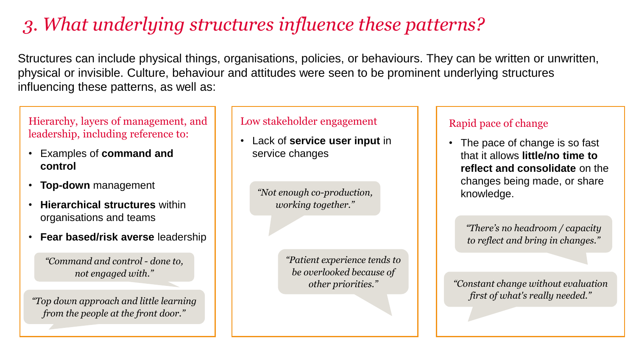#### *3. What underlying structures influence these patterns?*

Structures can include physical things, organisations, policies, or behaviours. They can be written or unwritten, physical or invisible. Culture, behaviour and attitudes were seen to be prominent underlying structures influencing these patterns, as well as:

#### Hierarchy, layers of management, and leadership, including reference to:

- Examples of **command and control**
- **Top-down** management
- **Hierarchical structures** within organisations and teams
- **Fear based/risk averse** leadership

*"Command and control - done to, not engaged with."*

*"Top down approach and little learning from the people at the front door."*

#### Low stakeholder engagement

• Lack of **service user input** in service changes

> *"Not enough co-production, working together."*

> > *"Patient experience tends to be overlooked because of other priorities."*

#### Rapid pace of change

• The pace of change is so fast that it allows **little/no time to reflect and consolidate** on the changes being made, or share knowledge.

> *"There's no headroom / capacity to reflect and bring in changes."*

*"Constant change without evaluation first of what's really needed."*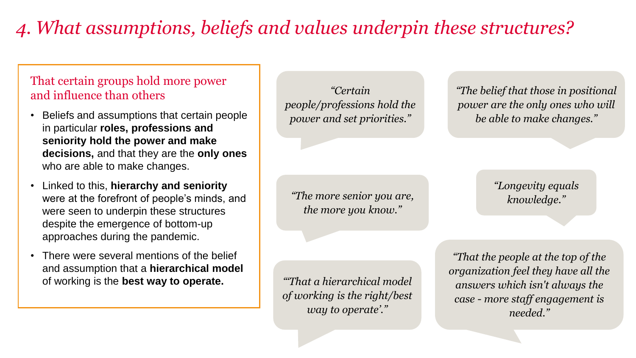#### *4. What assumptions, beliefs and values underpin these structures?*

#### That certain groups hold more power and influence than others

- Beliefs and assumptions that certain people in particular **roles, professions and seniority hold the power and make decisions,** and that they are the **only ones**  who are able to make changes.
- Linked to this, **hierarchy and seniority**  were at the forefront of people's minds, and were seen to underpin these structures despite the emergence of bottom-up approaches during the pandemic.
- There were several mentions of the belief and assumption that a **hierarchical model** of working is the **best way to operate.**

*"Certain people/professions hold the power and set priorities."*

*"The more senior you are, the more you know."*

*"'That a hierarchical model of working is the right/best way to operate'."*

*"The belief that those in positional power are the only ones who will be able to make changes."*

> *"Longevity equals knowledge."*

*"That the people at the top of the organization feel they have all the answers which isn't always the case - more staff engagement is needed."*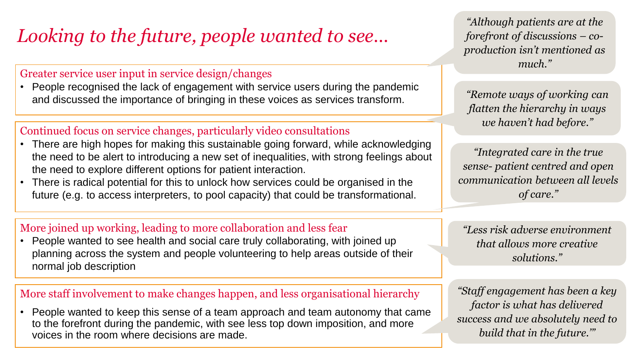#### *Looking to the future, people wanted to see…*

#### Greater service user input in service design/changes

• People recognised the lack of engagement with service users during the pandemic and discussed the importance of bringing in these voices as services transform.

#### Continued focus on service changes, particularly video consultations

- There are high hopes for making this sustainable going forward, while acknowledging the need to be alert to introducing a new set of inequalities, with strong feelings about the need to explore different options for patient interaction.
- There is radical potential for this to unlock how services could be organised in the future (e.g. to access interpreters, to pool capacity) that could be transformational.

#### More joined up working, leading to more collaboration and less fear

• People wanted to see health and social care truly collaborating, with joined up planning across the system and people volunteering to help areas outside of their normal job description

#### More staff involvement to make changes happen, and less organisational hierarchy

• People wanted to keep this sense of a team approach and team autonomy that came to the forefront during the pandemic, with see less top down imposition, and more voices in the room where decisions are made.

*"Although patients are at the forefront of discussions – coproduction isn't mentioned as much."* 

*"Remote ways of working can flatten the hierarchy in ways we haven't had before."*

*"Integrated care in the true sense- patient centred and open communication between all levels of care."*

*"Less risk adverse environment that allows more creative solutions."*

*"Staff engagement has been a key factor is what has delivered success and we absolutely need to build that in the future.'"*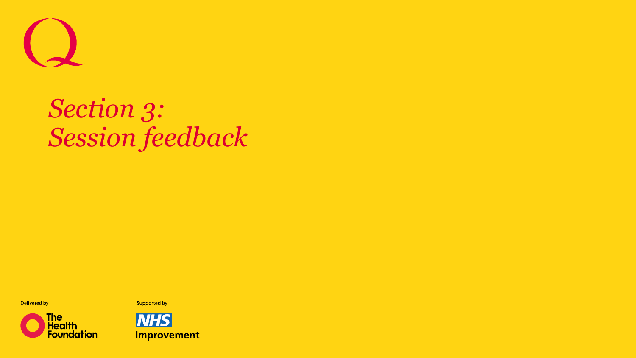

*Section 3: Session feedback*

Delivered by





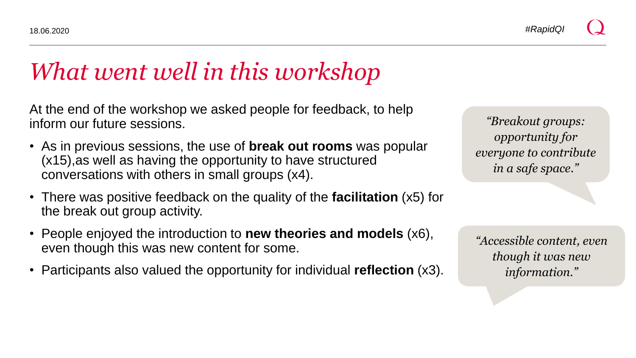## *What went well in this workshop*

At the end of the workshop we asked people for feedback, to help inform our future sessions.

- As in previous sessions, the use of **break out rooms** was popular (x15),as well as having the opportunity to have structured conversations with others in small groups (x4).
- There was positive feedback on the quality of the **facilitation** (x5) for the break out group activity.
- People enjoyed the introduction to **new theories and models** (x6), even though this was new content for some.
- Participants also valued the opportunity for individual **reflection** (x3).

*"Breakout groups: opportunity for everyone to contribute in a safe space."*

*"Accessible content, even though it was new information."*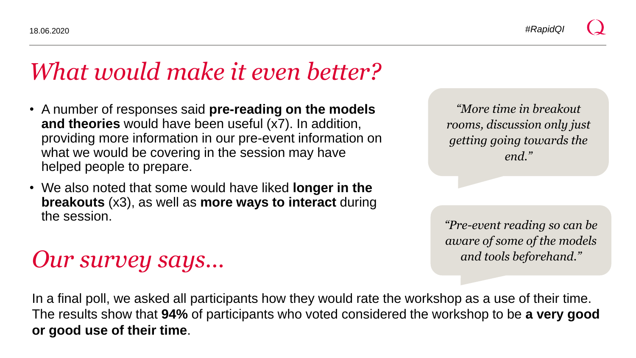# *What would make it even better?*

- A number of responses said **pre-reading on the models and theories** would have been useful (x7). In addition, providing more information in our pre-event information on what we would be covering in the session may have helped people to prepare.
- We also noted that some would have liked **longer in the breakouts** (x3), as well as **more ways to interact** during the session.

### *Our survey says… and tools beforehand."*

*"More time in breakout rooms, discussion only just getting going towards the end."*

*"Pre-event reading so can be aware of some of the models* 

In a final poll, we asked all participants how they would rate the workshop as a use of their time. The results show that **94%** of participants who voted considered the workshop to be **a very good or good use of their time**.